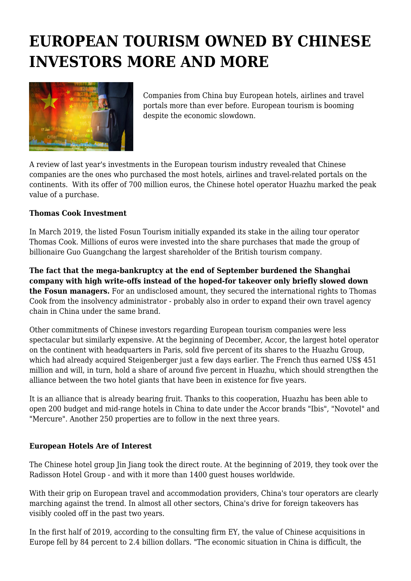# **EUROPEAN TOURISM OWNED BY CHINESE INVESTORS MORE AND MORE**



Companies from China buy European hotels, airlines and travel portals more than ever before. European tourism is booming despite the economic slowdown.

A review of last year's investments in the European tourism industry revealed that Chinese companies are the ones who purchased the most hotels, airlines and travel-related portals on the continents. With its offer of 700 million euros, the Chinese hotel operator Huazhu marked the peak value of a purchase.

#### **Thomas Cook Investment**

In March 2019, the listed Fosun Tourism initially expanded its stake in the ailing tour operator Thomas Cook. Millions of euros were invested into the share purchases that made the group of billionaire Guo Guangchang the largest shareholder of the British tourism company.

**The fact that the mega-bankruptcy at the end of September burdened the Shanghai company with high write-offs instead of the hoped-for takeover only briefly slowed down the Fosun managers.** For an undisclosed amount, they secured the international rights to Thomas Cook from the insolvency administrator - probably also in order to expand their own travel agency chain in China under the same brand.

Other commitments of Chinese investors regarding European tourism companies were less spectacular but similarly expensive. At the beginning of December, Accor, the largest hotel operator on the continent with headquarters in Paris, sold five percent of its shares to the Huazhu Group, which had already acquired Steigenberger just a few days earlier. The French thus earned US\$ 451 million and will, in turn, hold a share of around five percent in Huazhu, which should strengthen the alliance between the two hotel giants that have been in existence for five years.

It is an alliance that is already bearing fruit. Thanks to this cooperation, Huazhu has been able to open 200 budget and mid-range hotels in China to date under the Accor brands "Ibis", "Novotel" and "Mercure". Another 250 properties are to follow in the next three years.

## **European Hotels Are of Interest**

The Chinese hotel group Jin Jiang took the direct route. At the beginning of 2019, they took over the Radisson Hotel Group - and with it more than 1400 guest houses worldwide.

With their grip on European travel and accommodation providers, China's tour operators are clearly marching against the trend. In almost all other sectors, China's drive for foreign takeovers has visibly cooled off in the past two years.

In the first half of 2019, according to the consulting firm EY, the value of Chinese acquisitions in Europe fell by 84 percent to 2.4 billion dollars. "The economic situation in China is difficult, the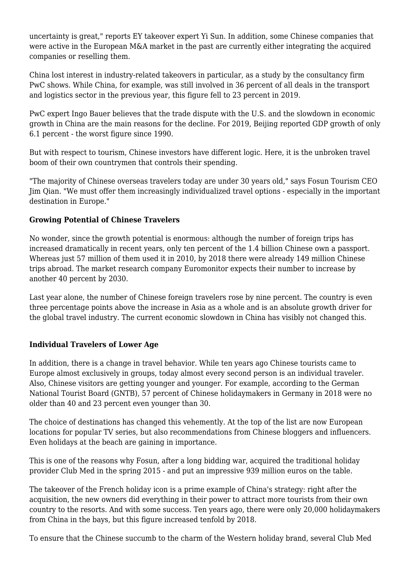uncertainty is great," reports EY takeover expert Yi Sun. In addition, some Chinese companies that were active in the European M&A market in the past are currently either integrating the acquired companies or reselling them.

China lost interest in industry-related takeovers in particular, as a study by the consultancy firm PwC shows. While China, for example, was still involved in 36 percent of all deals in the transport and logistics sector in the previous year, this figure fell to 23 percent in 2019.

PwC expert Ingo Bauer believes that the trade dispute with the U.S. and the slowdown in economic growth in China are the main reasons for the decline. For 2019, Beijing reported GDP growth of only 6.1 percent - the worst figure since 1990.

But with respect to tourism, Chinese investors have different logic. Here, it is the unbroken travel boom of their own countrymen that controls their spending.

"The majority of Chinese overseas travelers today are under 30 years old," says Fosun Tourism CEO Jim Qian. "We must offer them increasingly individualized travel options - especially in the important destination in Europe."

## **Growing Potential of Chinese Travelers**

No wonder, since the growth potential is enormous: although the number of foreign trips has increased dramatically in recent years, only ten percent of the 1.4 billion Chinese own a passport. Whereas just 57 million of them used it in 2010, by 2018 there were already 149 million Chinese trips abroad. The market research company Euromonitor expects their number to increase by another 40 percent by 2030.

Last year alone, the number of Chinese foreign travelers rose by nine percent. The country is even three percentage points above the increase in Asia as a whole and is an absolute growth driver for the global travel industry. The current economic slowdown in China has visibly not changed this.

## **Individual Travelers of Lower Age**

In addition, there is a change in travel behavior. While ten years ago Chinese tourists came to Europe almost exclusively in groups, today almost every second person is an individual traveler. Also, Chinese visitors are getting younger and younger. For example, according to the German National Tourist Board (GNTB), 57 percent of Chinese holidaymakers in Germany in 2018 were no older than 40 and 23 percent even younger than 30.

The choice of destinations has changed this vehemently. At the top of the list are now European locations for popular TV series, but also recommendations from Chinese bloggers and influencers. Even holidays at the beach are gaining in importance.

This is one of the reasons why Fosun, after a long bidding war, acquired the traditional holiday provider Club Med in the spring 2015 - and put an impressive 939 million euros on the table.

The takeover of the French holiday icon is a prime example of China's strategy: right after the acquisition, the new owners did everything in their power to attract more tourists from their own country to the resorts. And with some success. Ten years ago, there were only 20,000 holidaymakers from China in the bays, but this figure increased tenfold by 2018.

To ensure that the Chinese succumb to the charm of the Western holiday brand, several Club Med